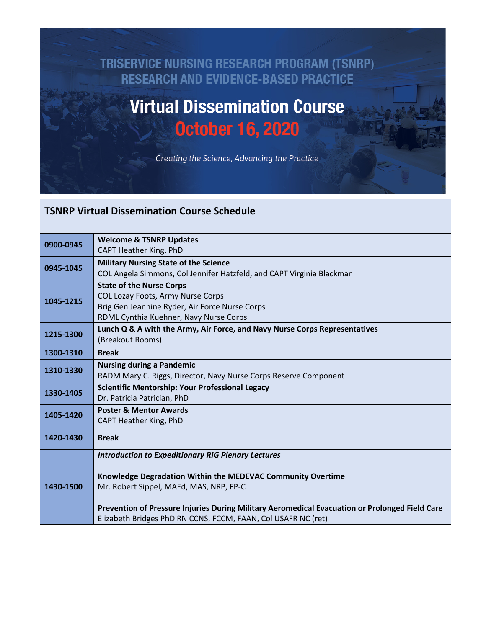## TRISERVICE NURSING RESEARCH PROGRAM (TSNRP) **RESEARCH AND EVIDENCE-BASED PRACTICE**

## **Virtual Dissemination Course October 16, 2020**

Creating the Science, Advancing the Practice

## **TSNRP Virtual Dissemination Course Schedule**

| 0900-0945 | <b>Welcome &amp; TSNRP Updates</b>                                                             |
|-----------|------------------------------------------------------------------------------------------------|
|           | CAPT Heather King, PhD                                                                         |
| 0945-1045 | <b>Military Nursing State of the Science</b>                                                   |
|           | COL Angela Simmons, Col Jennifer Hatzfeld, and CAPT Virginia Blackman                          |
| 1045-1215 | <b>State of the Nurse Corps</b>                                                                |
|           | COL Lozay Foots, Army Nurse Corps                                                              |
|           | Brig Gen Jeannine Ryder, Air Force Nurse Corps                                                 |
|           | RDML Cynthia Kuehner, Navy Nurse Corps                                                         |
| 1215-1300 | Lunch Q & A with the Army, Air Force, and Navy Nurse Corps Representatives                     |
|           | (Breakout Rooms)                                                                               |
| 1300-1310 | <b>Break</b>                                                                                   |
| 1310-1330 | <b>Nursing during a Pandemic</b>                                                               |
|           | RADM Mary C. Riggs, Director, Navy Nurse Corps Reserve Component                               |
| 1330-1405 | <b>Scientific Mentorship: Your Professional Legacy</b>                                         |
|           | Dr. Patricia Patrician, PhD                                                                    |
| 1405-1420 | <b>Poster &amp; Mentor Awards</b>                                                              |
|           | CAPT Heather King, PhD                                                                         |
| 1420-1430 | <b>Break</b>                                                                                   |
|           |                                                                                                |
|           | <b>Introduction to Expeditionary RIG Plenary Lectures</b>                                      |
|           |                                                                                                |
|           | Knowledge Degradation Within the MEDEVAC Community Overtime                                    |
| 1430-1500 | Mr. Robert Sippel, MAEd, MAS, NRP, FP-C                                                        |
|           |                                                                                                |
|           | Prevention of Pressure Injuries During Military Aeromedical Evacuation or Prolonged Field Care |
|           | Elizabeth Bridges PhD RN CCNS, FCCM, FAAN, Col USAFR NC (ret)                                  |